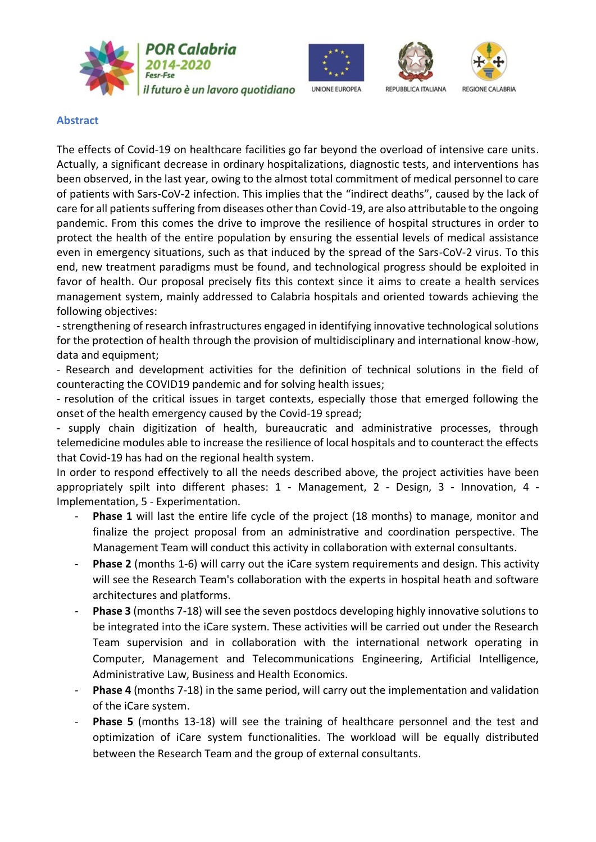



**UNIONE EUROPEA** 





**Abstract**

The effects of Covid-19 on healthcare facilities go far beyond the overload of intensive care units. Actually, a significant decrease in ordinary hospitalizations, diagnostic tests, and interventions has been observed, in the last year, owing to the almost total commitment of medical personnel to care of patients with Sars-CoV-2 infection. This implies that the "indirect deaths", caused by the lack of care for all patients suffering from diseases other than Covid-19, are also attributable to the ongoing pandemic. From this comes the drive to improve the resilience of hospital structures in order to protect the health of the entire population by ensuring the essential levels of medical assistance even in emergency situations, such as that induced by the spread of the Sars-CoV-2 virus. To this end, new treatment paradigms must be found, and technological progress should be exploited in favor of health. Our proposal precisely fits this context since it aims to create a health services management system, mainly addressed to Calabria hospitals and oriented towards achieving the following objectives:

-strengthening of research infrastructures engaged in identifying innovative technological solutions for the protection of health through the provision of multidisciplinary and international know-how, data and equipment;

- Research and development activities for the definition of technical solutions in the field of counteracting the COVID19 pandemic and for solving health issues;

- resolution of the critical issues in target contexts, especially those that emerged following the onset of the health emergency caused by the Covid-19 spread;

- supply chain digitization of health, bureaucratic and administrative processes, through telemedicine modules able to increase the resilience of local hospitals and to counteract the effects that Covid-19 has had on the regional health system.

In order to respond effectively to all the needs described above, the project activities have been appropriately spilt into different phases: 1 - Management, 2 - Design, 3 - Innovation, 4 - Implementation, 5 - Experimentation.

- Phase 1 will last the entire life cycle of the project (18 months) to manage, monitor and finalize the project proposal from an administrative and coordination perspective. The Management Team will conduct this activity in collaboration with external consultants.
- **Phase 2** (months 1-6) will carry out the iCare system requirements and design. This activity will see the Research Team's collaboration with the experts in hospital heath and software architectures and platforms.
- **Phase 3** (months 7-18) will see the seven postdocs developing highly innovative solutions to be integrated into the iCare system. These activities will be carried out under the Research Team supervision and in collaboration with the international network operating in Computer, Management and Telecommunications Engineering, Artificial Intelligence, Administrative Law, Business and Health Economics.
- **Phase 4** (months 7-18) in the same period, will carry out the implementation and validation of the iCare system.
- **Phase 5** (months 13-18) will see the training of healthcare personnel and the test and optimization of iCare system functionalities. The workload will be equally distributed between the Research Team and the group of external consultants.